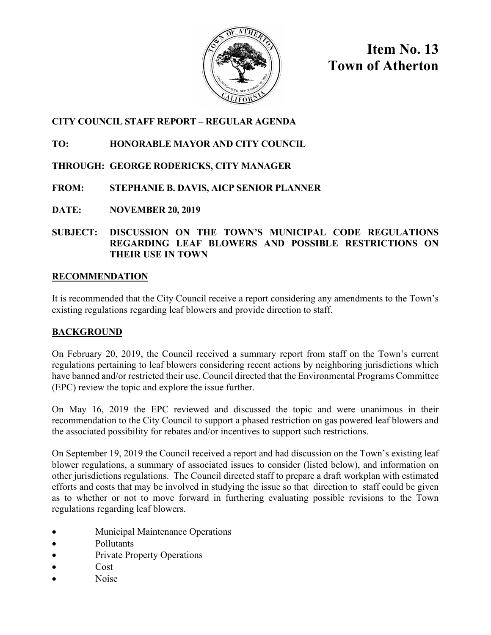

**Item No. 13 Town of Atherton**

## **CITY COUNCIL STAFF REPORT – REGULAR AGENDA**

### **TO: HONORABLE MAYOR AND CITY COUNCIL**

### **THROUGH: GEORGE RODERICKS, CITY MANAGER**

# **FROM: STEPHANIE B. DAVIS, AICP SENIOR PLANNER**

**DATE: NOVEMBER 20, 2019**

#### **SUBJECT: DISCUSSION ON THE TOWN'S MUNICIPAL CODE REGULATIONS REGARDING LEAF BLOWERS AND POSSIBLE RESTRICTIONS ON THEIR USE IN TOWN**

### **RECOMMENDATION**

It is recommended that the City Council receive a report considering any amendments to the Town's existing regulations regarding leaf blowers and provide direction to staff.

### **BACKGROUND**

On February 20, 2019, the Council received a summary report from staff on the Town's current regulations pertaining to leaf blowers considering recent actions by neighboring jurisdictions which have banned and/or restricted their use. Council directed that the Environmental Programs Committee (EPC) review the topic and explore the issue further.

On May 16, 2019 the EPC reviewed and discussed the topic and were unanimous in their recommendation to the City Council to support a phased restriction on gas powered leaf blowers and the associated possibility for rebates and/or incentives to support such restrictions.

On September 19, 2019 the Council received a report and had discussion on the Town's existing leaf blower regulations, a summary of associated issues to consider (listed below), and information on other jurisdictions regulations. The Council directed staff to prepare a draft workplan with estimated efforts and costs that may be involved in studying the issue so that direction to staff could be given as to whether or not to move forward in furthering evaluating possible revisions to the Town regulations regarding leaf blowers.

- Municipal Maintenance Operations
- Pollutants
- Private Property Operations
- Cost
- Noise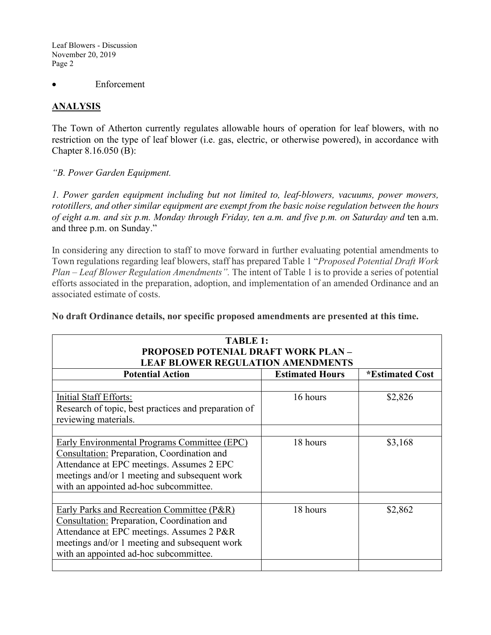Leaf Blowers - Discussion November 20, 2019 Page 2

**Enforcement** 

### **ANALYSIS**

The Town of Atherton currently regulates allowable hours of operation for leaf blowers, with no restriction on the type of leaf blower (i.e. gas, electric, or otherwise powered), in accordance with Chapter 8.16.050 (B):

*"B. Power Garden Equipment.*

*1. Power garden equipment including but not limited to, leaf-blowers, vacuums, power mowers, rototillers, and other similar equipment are exempt from the basic noise regulation between the hours of eight a.m. and six p.m. Monday through Friday, ten a.m. and five p.m. on Saturday and* ten a.m. and three p.m. on Sunday."

In considering any direction to staff to move forward in further evaluating potential amendments to Town regulations regarding leaf blowers, staff has prepared Table 1 "*Proposed Potential Draft Work Plan – Leaf Blower Regulation Amendments".* The intent of Table 1 is to provide a series of potential efforts associated in the preparation, adoption, and implementation of an amended Ordinance and an associated estimate of costs.

**No draft Ordinance details, nor specific proposed amendments are presented at this time.** 

| <b>TABLE 1:</b><br><b>PROPOSED POTENIAL DRAFT WORK PLAN-</b><br><b>LEAF BLOWER REGULATION AMENDMENTS</b>                                                                                                                                   |                        |                 |  |
|--------------------------------------------------------------------------------------------------------------------------------------------------------------------------------------------------------------------------------------------|------------------------|-----------------|--|
| <b>Potential Action</b>                                                                                                                                                                                                                    | <b>Estimated Hours</b> | *Estimated Cost |  |
| Initial Staff Efforts:<br>Research of topic, best practices and preparation of<br>reviewing materials.                                                                                                                                     | 16 hours               | \$2,826         |  |
| <b>Early Environmental Programs Committee (EPC)</b><br>Consultation: Preparation, Coordination and<br>Attendance at EPC meetings. Assumes 2 EPC<br>meetings and/or 1 meeting and subsequent work<br>with an appointed ad-hoc subcommittee. | 18 hours               | \$3,168         |  |
| Early Parks and Recreation Committee (P&R)<br><b>Consultation: Preparation, Coordination and</b><br>Attendance at EPC meetings. Assumes 2 P&R<br>meetings and/or 1 meeting and subsequent work<br>with an appointed ad-hoc subcommittee.   | 18 hours               | \$2,862         |  |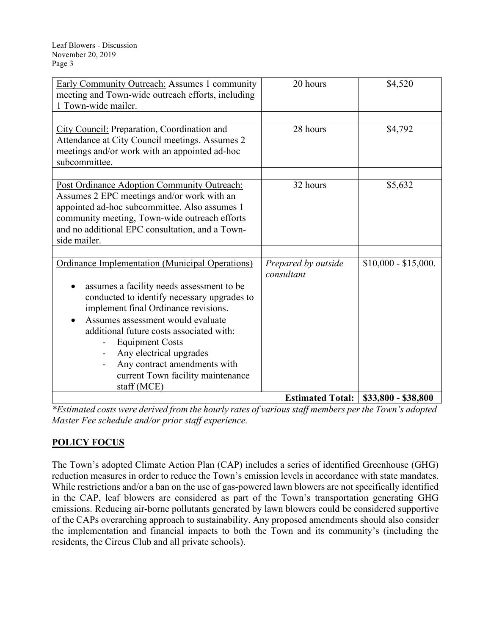| <b>Early Community Outreach:</b> Assumes 1 community<br>meeting and Town-wide outreach efforts, including<br>1 Town-wide mailer.                                                                                                                                                                                                                                                                                                                 | 20 hours                          | \$4,520              |
|--------------------------------------------------------------------------------------------------------------------------------------------------------------------------------------------------------------------------------------------------------------------------------------------------------------------------------------------------------------------------------------------------------------------------------------------------|-----------------------------------|----------------------|
| City Council: Preparation, Coordination and<br>Attendance at City Council meetings. Assumes 2<br>meetings and/or work with an appointed ad-hoc<br>subcommittee.                                                                                                                                                                                                                                                                                  | 28 hours                          | \$4,792              |
| Post Ordinance Adoption Community Outreach:<br>Assumes 2 EPC meetings and/or work with an<br>appointed ad-hoc subcommittee. Also assumes 1<br>community meeting, Town-wide outreach efforts<br>and no additional EPC consultation, and a Town-<br>side mailer.                                                                                                                                                                                   | 32 hours                          | \$5,632              |
| <b>Ordinance Implementation (Municipal Operations)</b><br>assumes a facility needs assessment to be<br>conducted to identify necessary upgrades to<br>implement final Ordinance revisions.<br>Assumes assessment would evaluate<br>additional future costs associated with:<br><b>Equipment Costs</b><br>Any electrical upgrades<br>$\overline{\phantom{a}}$<br>Any contract amendments with<br>current Town facility maintenance<br>staff (MCE) | Prepared by outside<br>consultant | $$10,000 - $15,000.$ |
|                                                                                                                                                                                                                                                                                                                                                                                                                                                  | <b>Estimated Total:</b>           | \$33,800 - \$38,800  |

*\*Estimated costs were derived from the hourly rates of various staff members per the Town's adopted Master Fee schedule and/or prior staff experience.* 

### **POLICY FOCUS**

The Town's adopted Climate Action Plan (CAP) includes a series of identified Greenhouse (GHG) reduction measures in order to reduce the Town's emission levels in accordance with state mandates. While restrictions and/or a ban on the use of gas-powered lawn blowers are not specifically identified in the CAP, leaf blowers are considered as part of the Town's transportation generating GHG emissions. Reducing air-borne pollutants generated by lawn blowers could be considered supportive of the CAPs overarching approach to sustainability. Any proposed amendments should also consider the implementation and financial impacts to both the Town and its community's (including the residents, the Circus Club and all private schools).